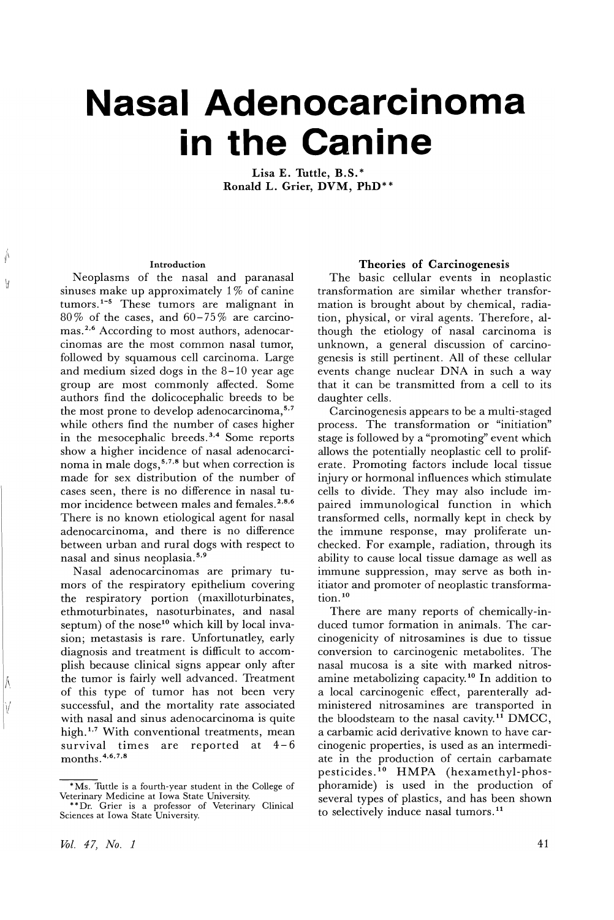# **Nasal Adenocarcinoma in the Canine**

Lisa E. Tuttle, B.S.\* Ronald L. Grier, DVM, PhD\*\*

#### Introduction

 $\oint$ 

 $\mathcal{H}$ 

Neoplasms of the nasal and paranasal sinuses make up approximately 1% of canine tumors.<sup>1-5</sup> These tumors are malignant in  $80\%$  of the cases, and  $60-75\%$  are carcinomas.<sup>2,6</sup> According to most authors, adenocarcinomas are the most common nasal tumor, followed by squamous cell carcinoma. Large and medium sized dogs in the  $8-10$  year age group are most commonly affected. Some authors find the dolicocephalic breeds to be the most prone to develop adenocarcinoma,<sup>5,7</sup> while others find the number of cases higher in the mesocephalic breeds.<sup>3,4</sup> Some reports show a higher incidence of nasal adenocarcinoma in male dogs,<sup>5,7,8</sup> but when correction is made for sex distribution of the number of cases seen, there is no difference in nasal tumor incidence between males and females.<sup>2,8,6</sup> There is no known etiological agent for nasal adenocarcinoma, and there is no difference between urban and rural dogs with respect to nasal and sinus neoplasia. 5,9

Nasal adenocarcinomas are primary tumors of the respiratory epithelium covering the respiratory portion (maxilloturbinates, ethmoturbinates, nasoturbinates, and nasal septum) of the nose<sup>10</sup> which kill by local invasion; metastasis is rare. Unfortunatley, early diagnosis and treatment is difficult to accomplish because clinical signs appear only after the tumor is fairly well advanced. Treatment of this type of tumor has not been very successful, and the mortality rate associated with nasal and sinus adenocarcinoma is quite high.<sup>1,7</sup> With conventional treatments, mean survival times are reported at  $4-6$ months. 4,6,7,8

## Theories of Carcinogenesis

The basic cellular events in neoplastic transformation are similar whether transformation is brought about by chemical, radiation, physical, or viral agents. Therefore, although the etiology of nasal carcinoma is unknown, a general discussion of carcinogenesis is still pertinent. All of these cellular events change nuclear DNA in such a way that it can be transmitted from a cell to its daughter cells.

Carcinogenesis appears to be a multi-staged process. The transformation or "initiation" stage is followed by a "promoting" event which allows the potentially neoplastic cell to proliferate. Promoting factors include local tissue injury or hormonal influences which stimulate cells to divide. They may also include impaired immunological function in which transformed cells, normally kept in check by the immune response, may proliferate unchecked. For example, radiation, through its ability to cause local tissue damage as well as immune suppression, may serve as both initiator and promoter of neoplastic transformation.<sup>10</sup>

There are many reports of chemically-induced tumor formation in animals. The carcinogenicity of nitrosamines is due to tissue conversion to carcinogenic metabolites. The nasal mucosa is a site with marked nitrosamine metabolizing capacity.<sup>10</sup> In addition to a local carcinogenic effect, parenterally administered nitrosamines are transported in the bloodsteam to the nasal cavity.11 DMCC, a carbamic acid derivative known to have carcinogenic properties, is used as an intermediate in the production of certain carbamate pesticides. <sup>10</sup> HMPA (hexamethyl-phosphoramide) is used in the production of several types of plastics, and has been shown to selectively induce nasal tumors.<sup>11</sup>

<sup>\*</sup>Ms. Tuttle is a fourth-year student in the College of

Veterinary Medicine at Iowa State University. \*\*Dr. Grier is a professor of Veterinary Clinical Sciences at Iowa State University.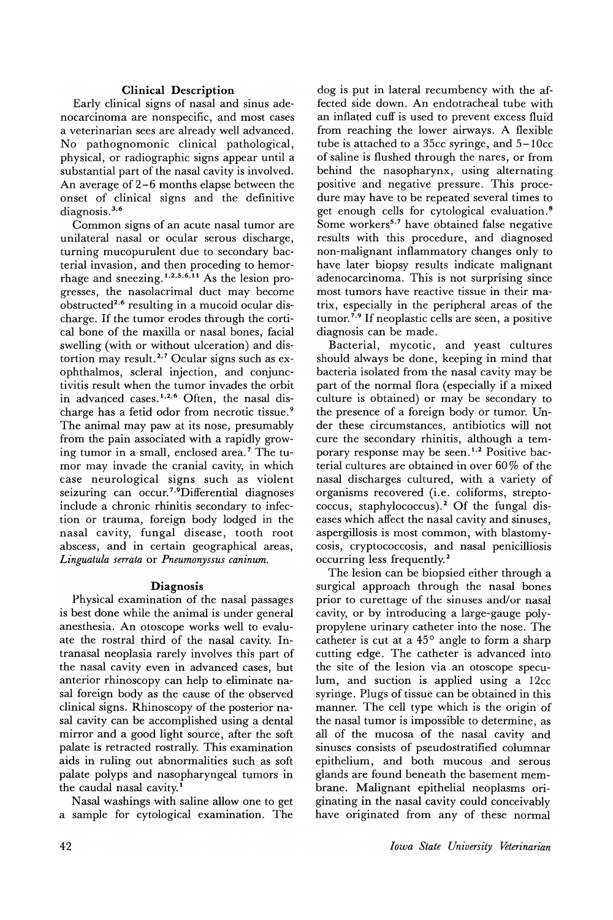## Clinical Description

Early clinical signs of nasal and sinus adenocarcinoma are nonspecific, and most cases a veterinarian sees are already well advanced. No pathognomonic clinical pathological, physical, or radiographic signs appear until a substantial part of the nasal cavity is involved. An average of 2-6 months elapse between the onset of clinical signs and the definitive diagnosis.<sup>3,6</sup>

Common signs of an acute nasal tumor are unilateral nasal or ocular serous discharge, turning mucopurulent due to secondary bacterial invasion, and then proceding to hemorrhage and sneezing.  $1, 2, 5, 6, 11$  As the lesion progresses, the nasolacrimal duct may become obstructed<sup>2,6</sup> resulting in a mucoid ocular discharge. If the tumor erodes through the cortical bone of the maxilla or nasal bones, facial swelling (with or without ulceration) and distortion may result.<sup>2,7</sup> Ocular signs such as exophthalmos, scleral injection, and conjunctivitis result when the tumor invades the orbit in advanced cases.1,2,6 Often, the nasal discharge has a fetid odor from necrotic tissue. 9 The animal may paw at its nose, presumably from the pain associated with a rapidly growing tumor in a small, enclosed area. 7 The tumor may invade the cranial cavity, in which case neurological signs such as violent seizuring can occur.<sup>7,9</sup>Differential diagnoses include a chronic rhinitis secondary to infection or trauma, foreign body lodged in the nasal cavity, fungal disease, tooth root abscess, and in certain geographical areas, *Linguatula serrata* or *Pneumonyssus caninum.*

## Diagnosis

Physical examination of the nasal passages is best done while the animal is under general anesthesia. An otoscope works well to evaluate the rostral third of the nasal cavity. Intranasal neoplasia rarely involves this part of the nasal cavity even in advanced cases, but anterior rhinoscopy can help to eliminate nasal foreign body as the cause of the observed clinical signs. Rhinoscopy of the posterior nasal cavity can be accomplished using a dental mirror and a good light source, after the soft palate is retracted rostrally. This examination aids in ruling out abnormalities such as soft palate polyps and nasopharyngeal tumors in the caudal nasal cavity.<sup>1</sup>

Nasal washings with saline allow one to get a sample for cytological examination. The

dog is put in lateral recumbency with the affected side down. An endotracheal tube with an inflated cuff is used to prevent excess fluid from reaching the lower airways. A flexible tube is attached to a 35cc syringe, and 5-10cc of saline is flushed through the nares, or from behind the nasopharynx, using alternating positive and negative pressure. This procedure may have to be repeated several times to get enough cells for cytological evaluation. <sup>8</sup> Some workers<sup>5,7</sup> have obtained false negative results with this procedure, and diagnosed non-malignant inflammatory changes only to have later biopsy results indicate malignant adenocarcinoma. This is not surprising since most tumors have reactive tissue in their matrix, especially in the peripheral areas of the tumor.<sup> $7,9$ </sup> If neoplastic cells are seen, a positive diagnosis can be made.

Bacterial, mycotic, and yeast cultures should always be done, keeping in mind that bacteria isolated from the nasal cavity may be part of the normal flora (especially if a mixed culture is obtained) or may be secondary to the presence of a foreign body or tumor. Under these circumstances, antibiotics will not cure the secondary rhinitis, although a temporary response may be seen.<sup>1,2</sup> Positive bacterial cultures are obtained in over  $60\%$  of the nasal discharges cultured, with a variety of organisms recovered (i.e. coliforms, streptococcus, staphylococcus).<sup>2</sup> Of the fungal diseases which affect the nasal cavity and sinuses, aspergillosis is most common, with blastomycosis, cryptococcosis, and nasal penicilliosis occurring less frequently. 2

The lesion can be biopsied either through a surgical approach through the nasal bones prior to curettage of the sinuses and/or nasal cavity, or by introducing a large-gauge polypropylene urinary catheter into the nose. The catheter is cut at a 45° angle to form a sharp cutting edge. The catheter is advanced into the site of the lesion via an otoscope speculum, and suction is applied using a  $12cc$ syringe. Plugs of tissue can be obtained in this manner. The cell type which is the origin of the nasal tumor is impossible to determine, as all of the mucosa of the nasal cavity and sinuses consists of pseudostratified columnar epithelium, and both mucous and serous glands are found beneath the basement membrane. Malignant epithelial neoplasms originating in the nasal cavity could conceivably have originated from any of these normal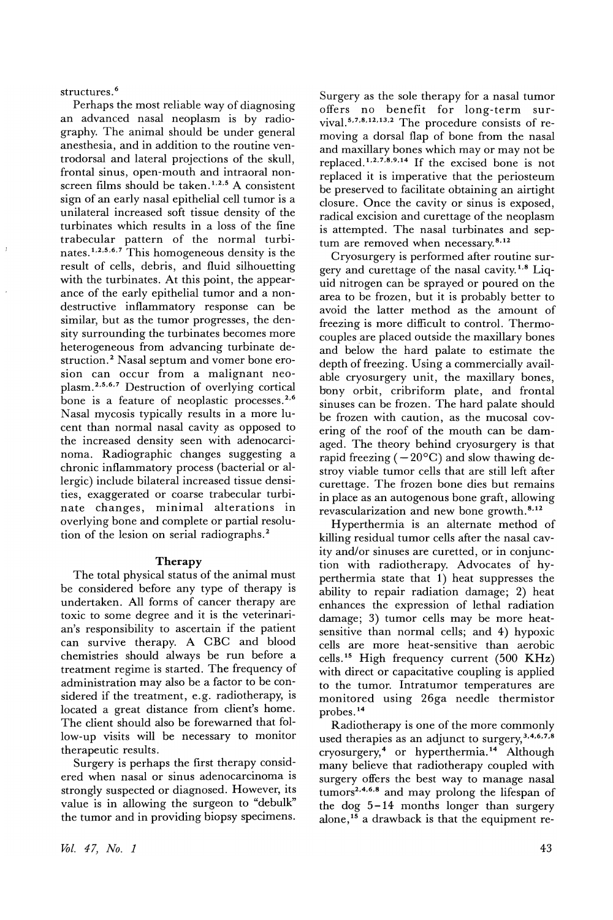structures.<sup>6</sup>

Perhaps the most reliable way of diagnosing an advanced nasal neoplasm is by radiography. The animal should be under general anesthesia, and in addition to the routine ventrodorsal and lateral projections of the skull, frontal sinus, open-mouth and intraoral nonscreen films should be taken.<sup>1,2,5</sup> A consistent sign of an early nasal epithelial cell tumor is a unilateral increased soft tissue density of the turbinates which results in a loss of the fine trabecular pattern of the normal turbinates.<sup>1,2,5,6,7</sup> This homogeneous density is the result of cells, debris, and fluid silhouetting with the turbinates. At this point, the appearance of the early epithelial tumor and a nondestructive inflammatory response can be similar, but as the tumor progresses, the density surrounding the turbinates becomes more heterogeneous from advancing turbinate destruction.<sup>2</sup> Nasal septum and vomer bone erosion can occur from a malignant neoplasm.2,5,6,7 Destruction of overlying cortical bone is a feature of neoplastic processes. 2,6 Nasal mycosis typically results in a more lucent than normal nasal cavity as opposed to the increased density seen with adenocarcinoma. Radiographic changes suggesting a chronic inflammatory process (bacterial or allergic) include bilateral increased tissue densities, exaggerated or coarse trabecular turbinate changes, minimal alterations in overlying bone and complete or partial resolution of the lesion on serial radiographs. <sup>2</sup>

## **Therapy**

The total physical status of the animal must be considered before any type of therapy is undertaken. All forms of cancer therapy are toxic to some degree and it is the veterinarian's responsibility to ascertain if the patient can survive therapy. A GBG and blood chemistries should always be run before a treatment regime is started. The frequency of administration may also be a factor to be considered if the treatment, e. g. radiotherapy, is located a great distance from client's home. The client should also be forewarned that follow-up visits will be necessary to monitor therapeutic results. .

Surgery is perhaps the first therapy considered when nasal or sinus adenocarcinoma is strongly suspected or diagnosed. However, its value is in allowing the surgeon to "debulk" the tumor and in providing biopsy specimens.

*UJI.* 47, *No. 1*

Surgery as the sole therapy for a nasal tumor offers no benefit for long-term survival. 5,7,8,12,13,2 The procedure consists of removing a dorsal flap of bone from the nasal and maxillary bones which mayor may not be replaced.1,2,7,8,9,14 If the excised bone is not replaced it is imperative that the periosteum be preserved to facilitate obtaining an airtight closure. Once the cavity or sinus is exposed, radical excision and curettage of the neoplasm is attempted. The nasal turbinates and septum are removed when necessary.<sup>8,12</sup>

Gryosurgery is performed after routine surgery and curettage of the nasal cavity.<sup>1,8</sup> Liquid nitrogen can be sprayed or poured on the area to be frozen, but it is probably better to avoid the latter method as the amount of freezing is more difficult to control. Thermocouples are placed outside the maxillary bones and below the hard palate to estimate the depth of freezing. Using a commercially available cryosurgery unit, the maxillary bones, bony orbit, cribriform plate, and frontal sinuses can be frozen. The hard palate should be frozen with caution, as the mucosal covering of the roof of the mouth can be damaged. The theory behind cryosurgery is that rapid freezing  $(-20^{\circ}C)$  and slow thawing destroy viable tumor cells that are still left after curettage. The frozen bone dies but remains in place as an autogenous bone graft, allowing revascularization and new bone growth.<sup>8,12</sup>

Hyperthermia is an alternate method of killing residual tumor cells after the nasal cavity and/or sinuses are curetted, or in conjunction with radiotherapy. Advocates of hyperthermia state that 1) heat suppresses the ability to repair radiation damage; 2) heat enhances the expression of lethal radiation damage; 3) tumor cells may be more heatsensitive than normal cells; and 4) hypoxic cells are more heat-sensitive than aerobic cells. <sup>15</sup> High frequency current (500 KHz) with direct or capacitative coupling is applied to the tumor. Intratumor temperatures are monitored using 26ga needle thermistor probes. 14

Radiotherapy is one of the more commonly used therapies as an adjunct to surgery,  $3,4,6,7,8$ cryosurgery,<sup>4</sup> or hyperthermia. <sup>14</sup> Although many believe that radiotherapy coupled with surgery offers the best way to manage nasal tumors<sup>2,4,6,8</sup> and may prolong the lifespan of the dog  $5-14$  months longer than surgery alone,<sup>15</sup> a drawback is that the equipment re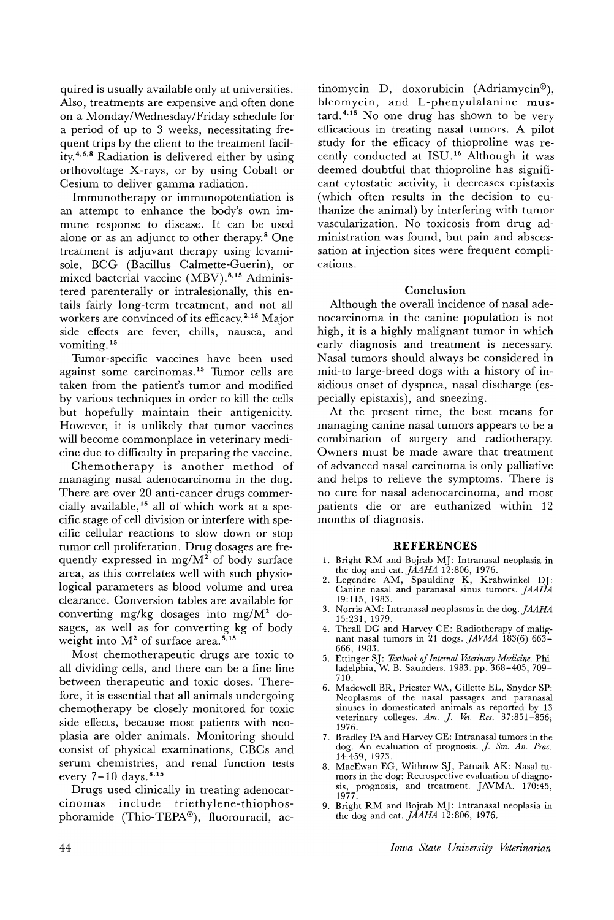quired is usually available only at universities. Also, treatments are expensive and often done on a Monday/Wednesday/Friday schedule for a period of up to 3 weeks, necessitating frequent trips by the client to the treatment facility.4,6,8 Radiation is delivered either by using orthovoltage X-rays, or by using Cobalt or Cesium to deliver gamma radiation.

Immunotherapy or immunopotentiation is an attempt to enhance the body's own immune response to disease. It can be used alone or as an adjunct to other therapy.8 One treatment is adjuvant therapy using levamisole, BCG (Bacillus Calmette-Guerin), or mixed bacterial vaccine (MBV). 8,15 Administered parenterally or intralesionally, this entails fairly long-term treatment, and not all workers are convinced of its efficacy. 2,15 Major side effects are fever, chills, nausea, and vomiting. <sup>15</sup>

Tumor-specific vaccines have been used against some carcinomas. <sup>15</sup> Tumor cells are taken from the patient's tumor and modified by various techniques in order to kill the cells but hopefully maintain their antigenicity. However, it is unlikely that tumor vaccines will become commonplace in veterinary medicine due to difficulty in preparing the vaccine.

Chemotherapy is another method of managing nasal adenocarcinoma in the dog. There are over 20 anti-cancer drugs commercially available,15 all of which work at a specific stage of cell division or interfere with specific cellular reactions to slow down or stop tumor cell proliferation. Drug dosages are frequently expressed in mg/ $M^2$  of body surface area, as this correlates well with such physiological parameters as blood volume and urea clearance. Conversion tables are available for converting mg/kg dosages into mg/M2 dosages, as well as for converting kg of body weight into  $M<sup>2</sup>$  of surface area.<sup>5,15</sup>

Most chemotherapeutic drugs are toxic to all dividing cells, and there can be a fine line between therapeutic and toxic doses. Therefore, it is essential that all animals undergoing chemotherapy be closely monitored for toxic side effects, because most patients with neoplasia are older animals. Monitoring should consist of physical examinations, CBCs and serum chemistries, and renal function tests every  $7-10$  days.<sup>8,15</sup>

Drugs used clinically in treating adenocarcinomas include triethylene-thiophosphoramide (Thio-TEPA®), fluorouracil, ac-

tinomycin D, doxorubicin (Adriamycin®), bleomycin, and L-phenyulalanine mus- $\text{tard.}^{4,15}$  No one drug has shown to be very efficacious in treating nasal tumors. A pilot study for the efficacy of thioproline was recently conducted at ISU. <sup>16</sup> Although it was deemed doubtful that thioproline has significant cytostatic activity, it decreases epistaxis (which often results in the decision to euthanize the animal) by interfering with tumor vascularization. No toxicosis from drug administration was found, but pain and abscessation at injection sites were frequent complications.

#### **Conclusion**

Although the overall incidence of nasal adenocarcinoma in the canine population is not high, it is a highly malignant tumor in which early diagnosis and treatment is necessary. Nasal tumors should always be considered in mid-to large-breed dogs with a history of insidious onset of dyspnea, nasal discharge (especially epistaxis), and sneezing.

At the present time, the best means for managing canine nasal tumors appears to be a combination of surgery and radiotherapy. Owners must be made aware that treatment of advanced nasal carcinoma is only palliative and helps to relieve the symptoms. There is no cure for nasal adenocarcinoma, and most patients die or are euthanized within 12 months of diagnosis.

#### **REFERENCES**

- 1. Bright RM and Bojrab Mj: Intranasal neoplasia in
- the dog and cat. *JAAHA* 12:806, 1976. 2. Legendre AM, Spaulding K, Krahwinkel Dj: Canine nasal and paranasal sinus tumors. *]AAHA* 19:115,1983.
- 3. Norris AM: Intranasal neoplasms in the *dog.JAAHA* 15:231, 1979.
- 4. Thrall DG and Harvey CE: Radiotherapy of malignant nasal tumors in 21 dogs.  $JAVMA$  183(6) 663-666, 1983.
- 5. Ettinger SJ: Textbook of Internal Veterinary Medicine. Philadelphia, W. B. Saunders. 1983. pp. 368-40\ 709- 710.
- 6. Madewell BR, Priester WA, Gillette EL, Snyder SP: Neoplasms of the nasal passages and paranasal sinuses in domesticated animals as reported by 13 veterinary colleges. Am. *J. Vet. Res.* 37:851-856; 1976.
- 7. Bradley PA and Harvey CE: Intranasal tumors in the dog. An evaluation of prognosis. *J. Sm. An. Prac.* 14:459, 1973.
- 8. MacEwan EG, Withrow Sj, Patnaik AK: Nasal tumors in the dog: Retrospective evaluation of diagnosis, prognosis, and treatment. jAVMA. 170:45, 1977.
- 9. Bright RM and Bojrab Mj: Intranasal neoplasia in the dog and cat. *JAAHA* 12:806, 1976.